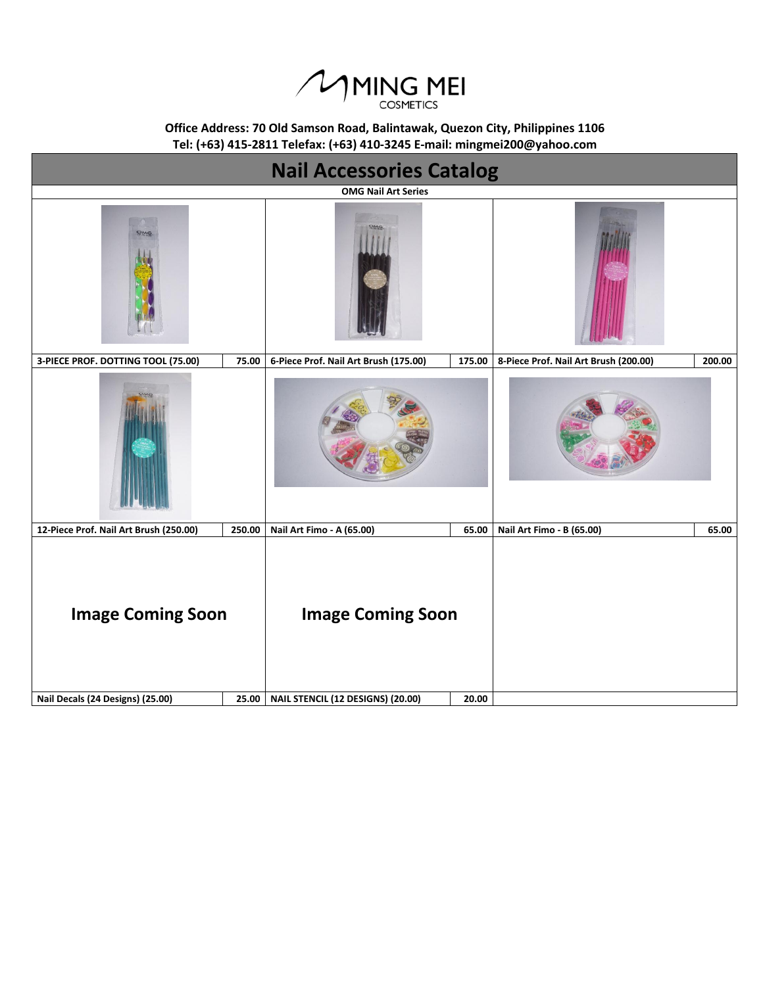

**Tel: (+63) 415-2811 Telefax: (+63) 410-3245 E-mail: mingmei200@yahoo.com Office Address: 70 Old Samson Road, Balintawak, Quezon City, Philippines 1106**

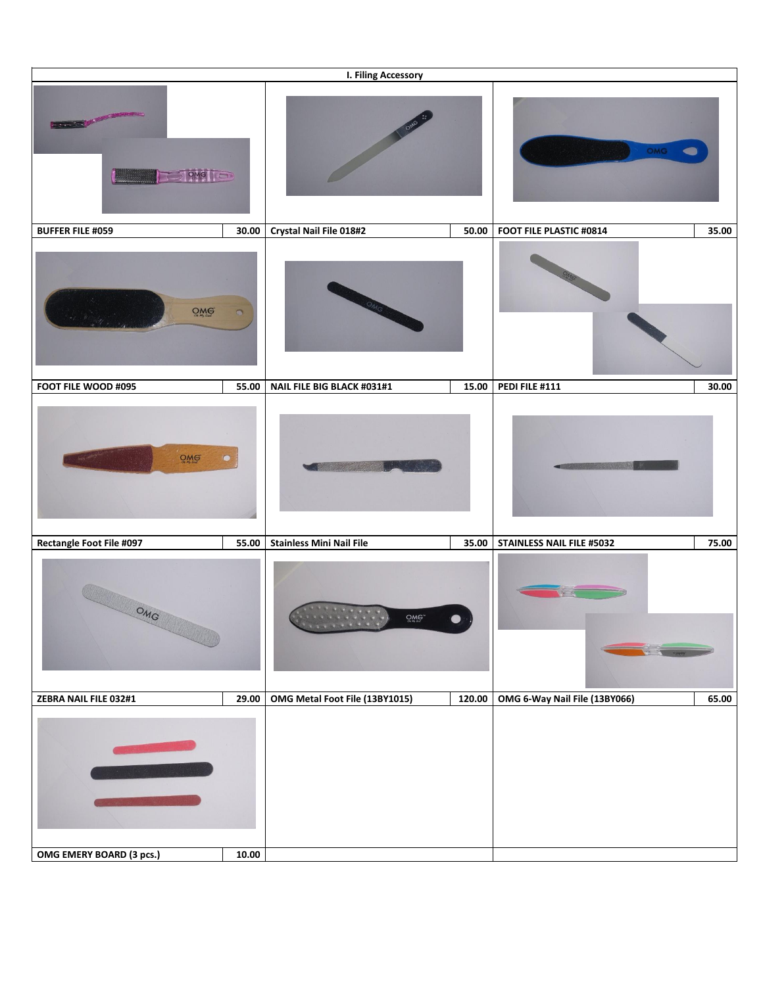|                                                    |           | I. Filing Accessory             |        |                                  |       |
|----------------------------------------------------|-----------|---------------------------------|--------|----------------------------------|-------|
| <b>CARD &amp; REPORT</b><br><b>STOMG</b><br>$\sum$ |           |                                 |        | OMG                              |       |
| <b>BUFFER FILE #059</b>                            | 30.00     | Crystal Nail File 018#2         | 50.00  | FOOT FILE PLASTIC #0814          | 35.00 |
| QMG                                                |           |                                 |        |                                  |       |
| FOOT FILE WOOD #095                                | 55.00     | NAIL FILE BIG BLACK #031#1      | 15.00  | PEDI FILE #111                   | 30.00 |
| $Q$ M $G$                                          | $\bullet$ |                                 |        |                                  |       |
| <b>Rectangle Foot File #097</b>                    | 55.00     | <b>Stainless Mini Nail File</b> | 35.00  | <b>STAINLESS NAIL FILE #5032</b> | 75.00 |
| OMG                                                |           | $Q_{\text{M}}$                  |        |                                  |       |
| ZEBRA NAIL FILE 032#1                              | 29.00     | OMG Metal Foot File (13BY1015)  | 120.00 | OMG 6-Way Nail File (13BY066)    | 65.00 |
| OMG EMERY BOARD (3 pcs.)                           | 10.00     |                                 |        |                                  |       |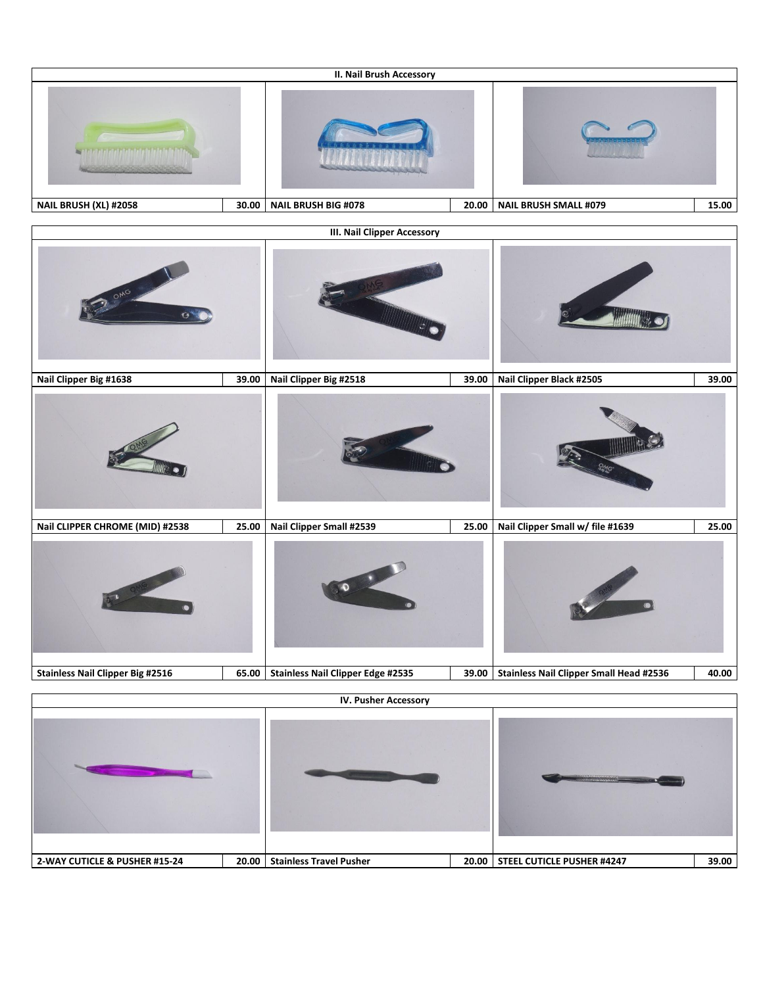|                                          |       | <b>II. Nail Brush Accessory</b>          |       |                                                |       |  |
|------------------------------------------|-------|------------------------------------------|-------|------------------------------------------------|-------|--|
| ta tana tanggal pangingang ng Indonésia. |       |                                          |       |                                                |       |  |
| NAIL BRUSH (XL) #2058                    | 30.00 | <b>NAIL BRUSH BIG #078</b>               | 20.00 | <b>NAIL BRUSH SMALL #079</b>                   | 15.00 |  |
|                                          |       | <b>III. Nail Clipper Accessory</b>       |       |                                                |       |  |
| OMG<br>Ġ                                 |       |                                          |       |                                                |       |  |
| Nail Clipper Big #1638                   | 39.00 | Nail Clipper Big #2518                   | 39.00 | Nail Clipper Black #2505                       | 39.00 |  |
|                                          |       |                                          |       |                                                |       |  |
| Nail CLIPPER CHROME (MID) #2538          | 25.00 | Nail Clipper Small #2539                 | 25.00 | Nail Clipper Small w/ file #1639               | 25.00 |  |
|                                          |       |                                          |       |                                                |       |  |
| <b>Stainless Nail Clipper Big #2516</b>  | 65.00 | <b>Stainless Nail Clipper Edge #2535</b> | 39.00 | <b>Stainless Nail Clipper Small Head #2536</b> | 40.00 |  |
| <b>IV. Pusher Accessory</b>              |       |                                          |       |                                                |       |  |
|                                          |       |                                          |       | <u>Sandarío de Co</u>                          |       |  |
| 2-WAY CUTICLE & PUSHER #15-24            |       | 20.00 Stainless Travel Pusher            |       | 20.00 STEEL CUTICLE PUSHER #4247               | 39.00 |  |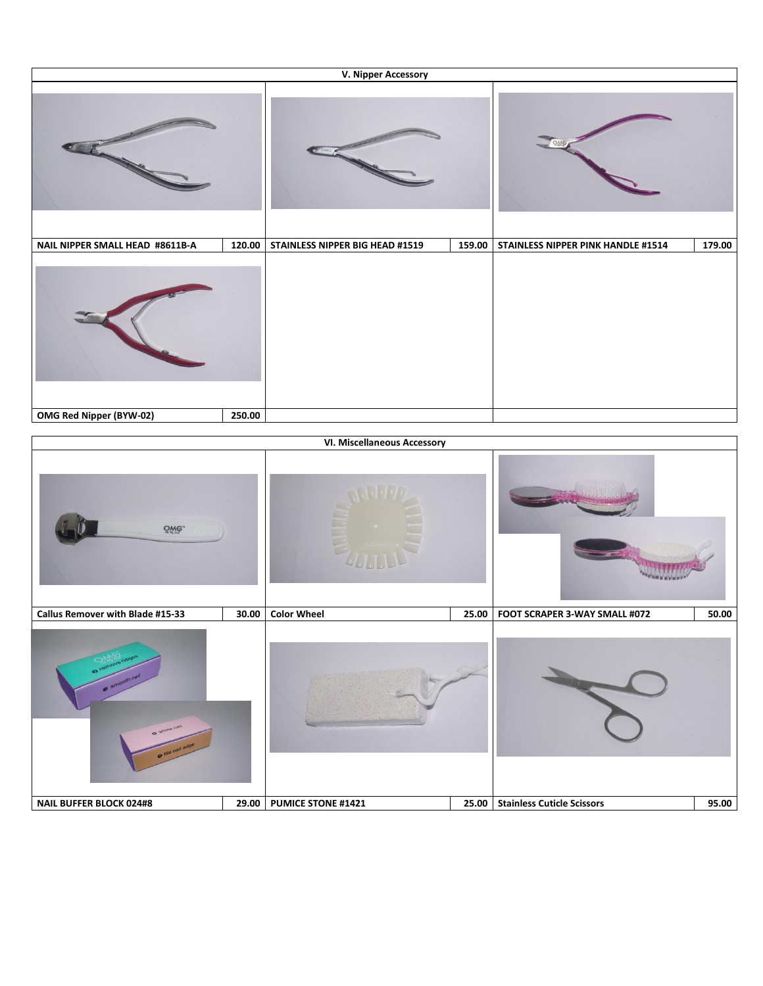| V. Nipper Accessory             |        |                                 |        |                                    |        |  |
|---------------------------------|--------|---------------------------------|--------|------------------------------------|--------|--|
|                                 |        |                                 |        |                                    |        |  |
| NAIL NIPPER SMALL HEAD #8611B-A | 120.00 | STAINLESS NIPPER BIG HEAD #1519 | 159.00 | STAINLESS NIPPER PINK HANDLE #1514 | 179.00 |  |
|                                 |        |                                 |        |                                    |        |  |
| OMG Red Nipper (BYW-02)         | 250.00 |                                 |        |                                    |        |  |

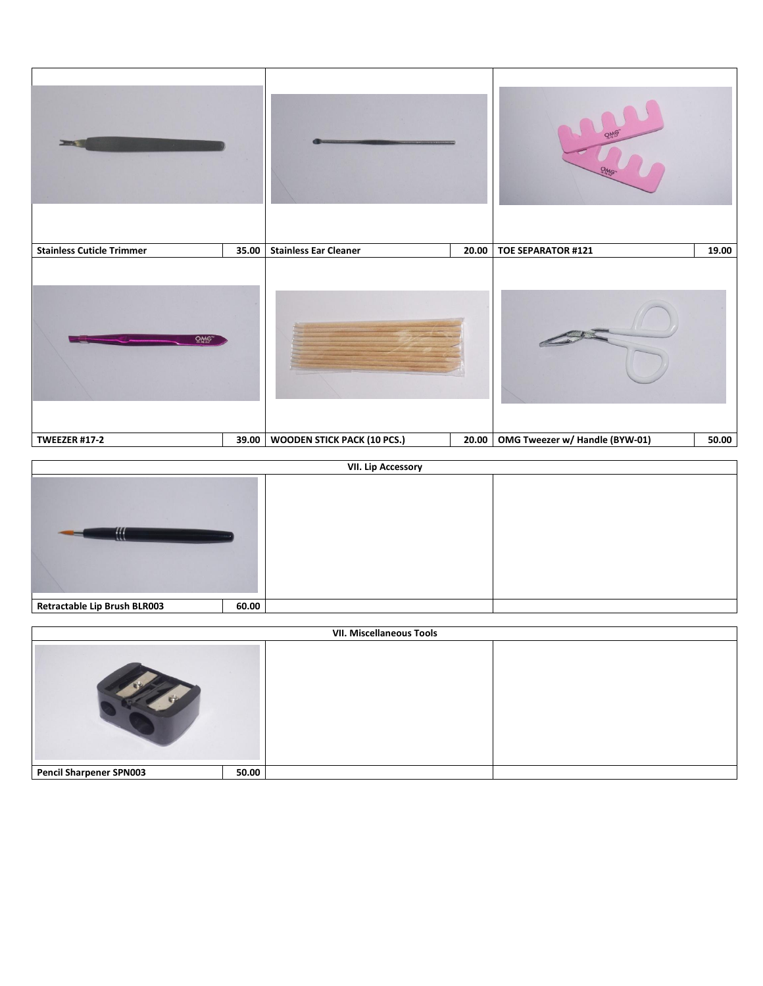



| <b>VII. Miscellaneous Tools</b> |       |  |  |
|---------------------------------|-------|--|--|
|                                 |       |  |  |
| <b>Pencil Sharpener SPN003</b>  | 50.00 |  |  |